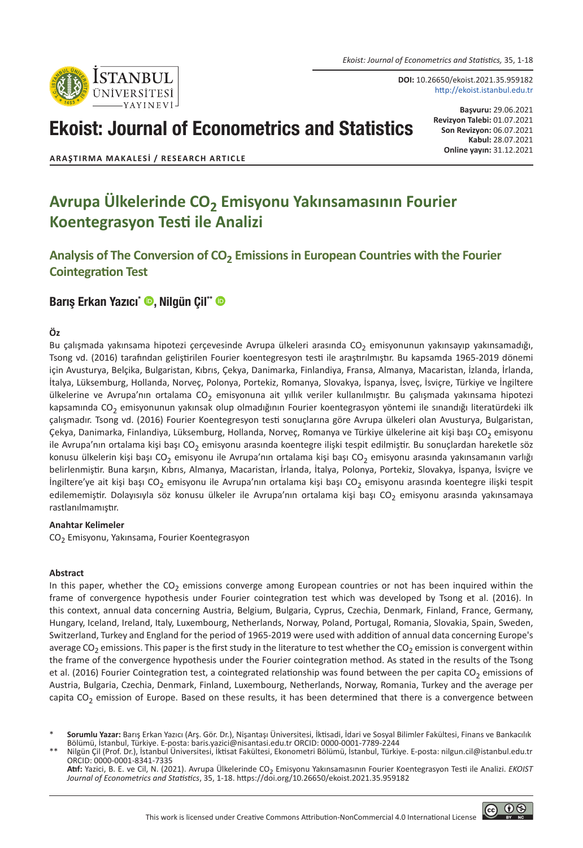*Ekoist: Journal of Econometrics and Statistics,* 35, 1-18



**DOI:** 10.26650/ekoist.2021.35.959182 http://ekoist.istanbul.edu.tr

# Ekoist: Journal of Econometrics and Statistics

**Başvuru:** 29.06.2021 **Revizyon Talebi:** 01.07.2021 **Son Revizyon:** 06.07.2021 **Kabul:** 28.07.2021 **Online yayın:** 31.12.2021

**ARAŞTIRMA MAKALESI / RESEARCH ARTICLE**

## **Avrupa Ülkelerinde CO2 Emisyonu Yakınsamasının Fourier Koentegrasyon Testi ile Analizi**

**Analysis of The Conversion of CO2 Emissions in European Countries with the Fourier Cointegration Test**

### [Barış Erkan Yazıcı\\*](https://orcid.org/0000-0001-7789-2244) (D, [Nilgün Çil\\*\\*](https://orcid.org/0000-0001-8341-7335) (D

### **Öz**

Bu çalışmada yakınsama hipotezi çerçevesinde Avrupa ülkeleri arasında CO<sub>2</sub> emisyonunun yakınsayıp yakınsamadığı, Tsong vd. (2016) tarafından geliştirilen Fourier koentegresyon testi ile araştırılmıştır. Bu kapsamda 1965-2019 dönemi için Avusturya, Belçika, Bulgaristan, Kıbrıs, Çekya, Danimarka, Finlandiya, Fransa, Almanya, Macaristan, İzlanda, İrlanda, İtalya, Lüksemburg, Hollanda, Norveç, Polonya, Portekiz, Romanya, Slovakya, İspanya, İsveç, İsviçre, Türkiye ve İngiltere ülkelerine ve Avrupa'nın ortalama CO<sub>2</sub> emisyonuna ait yıllık veriler kullanılmıştır. Bu çalışmada yakınsama hipotezi kapsamında CO<sub>2</sub> emisyonunun yakınsak olup olmadığının Fourier koentegrasyon yöntemi ile sınandığı literatürdeki ilk çalışmadır. Tsong vd. (2016) Fourier Koentegresyon testi sonuçlarına göre Avrupa ülkeleri olan Avusturya, Bulgaristan, Çekya, Danimarka, Finlandiya, Lüksemburg, Hollanda, Norveç, Romanya ve Türkiye ülkelerine ait kişi başı CO<sub>2</sub> emisyonu ile Avrupa'nın ortalama kişi başı CO<sub>2</sub> emisyonu arasında koentegre ilişki tespit edilmiştir. Bu sonuçlardan hareketle söz konusu ülkelerin kişi başı CO<sub>2</sub> emisyonu ile Avrupa'nın ortalama kişi başı CO<sub>2</sub> emisyonu arasında yakınsamanın varlığı belirlenmiştir. Buna karşın, Kıbrıs, Almanya, Macaristan, İrlanda, İtalya, Polonya, Portekiz, Slovakya, İspanya, İsviçre ve İngiltere'ye ait kişi başı CO<sub>2</sub> emisyonu ile Avrupa'nın ortalama kişi başı CO<sub>2</sub> emisyonu arasında koentegre ilişki tespit edilememiştir. Dolayısıyla söz konusu ülkeler ile Avrupa'nın ortalama kişi başı CO<sub>2</sub> emisyonu arasında yakınsamaya rastlanılmamıştır.

#### **Anahtar Kelimeler**

CO<sub>2</sub> Emisyonu, Yakınsama, Fourier Koentegrasyon

### **Abstract**

In this paper, whether the  $CO<sub>2</sub>$  emissions converge among European countries or not has been inquired within the frame of convergence hypothesis under Fourier cointegration test which was developed by Tsong et al. (2016). In this context, annual data concerning Austria, Belgium, Bulgaria, Cyprus, Czechia, Denmark, Finland, France, Germany, Hungary, Iceland, Ireland, Italy, Luxembourg, Netherlands, Norway, Poland, Portugal, Romania, Slovakia, Spain, Sweden, Switzerland, Turkey and England for the period of 1965-2019 were used with addition of annual data concerning Europe's average CO<sub>2</sub> emissions. This paper is the first study in the literature to test whether the CO<sub>2</sub> emission is convergent within the frame of the convergence hypothesis under the Fourier cointegration method. As stated in the results of the Tsong et al. (2016) Fourier Cointegration test, a cointegrated relationship was found between the per capita  $CO<sub>2</sub>$  emissions of Austria, Bulgaria, Czechia, Denmark, Finland, Luxembourg, Netherlands, Norway, Romania, Turkey and the average per capita  $CO<sub>2</sub>$  emission of Europe. Based on these results, it has been determined that there is a convergence between

\* **Sorumlu Yazar:** Barış Erkan Yazıcı (Arş. Gör. Dr.), Nişantaşı Üniversitesi, İktisadi, İdari ve Sosyal Bilimler Fakültesi, Finans ve Bankacılık Bölümü, İstanbul, Türkiye. E-posta: baris.yazici@nisantasi.edu.tr ORCID: 0000-0001-7789-2244

\*\* Nilgün Çil (Prof. Dr.), İstanbul Üniversitesi, İktisat Fakültesi, Ekonometri Bölümü, İstanbul, Türkiye. E-posta: nilgun.cil@istanbul.edu.tr ORCID: 0000-0001-8341-7335

**Atıf:** Yazici, B. E. ve Cil, N. (2021). Avrupa Ülkelerinde CO2 Emisyonu Yakınsamasının Fourier Koentegrasyon Testi ile Analizi. *EKOIST Journal of Econometrics and Statistics*, 35, 1-18. https://doi.org/10.26650/ekoist.2021.35.959182

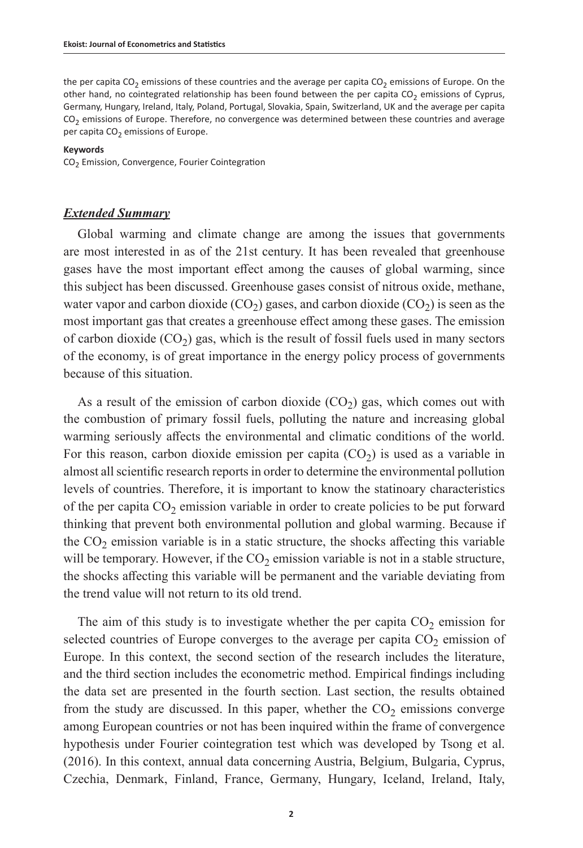the per capita CO<sub>2</sub> emissions of these countries and the average per capita CO<sub>2</sub> emissions of Europe. On the other hand, no cointegrated relationship has been found between the per capita  $CO<sub>2</sub>$  emissions of Cyprus, Germany, Hungary, Ireland, Italy, Poland, Portugal, Slovakia, Spain, Switzerland, UK and the average per capita  $CO<sub>2</sub>$  emissions of Europe. Therefore, no convergence was determined between these countries and average per capita  $CO<sub>2</sub>$  emissions of Europe.

#### **Keywords**

CO<sub>2</sub> Emission, Convergence, Fourier Cointegration

### *Extended Summary*

Global warming and climate change are among the issues that governments are most interested in as of the 21st century. It has been revealed that greenhouse gases have the most important effect among the causes of global warming, since this subject has been discussed. Greenhouse gases consist of nitrous oxide, methane, water vapor and carbon dioxide  $(CO<sub>2</sub>)$  gases, and carbon dioxide  $(CO<sub>2</sub>)$  is seen as the most important gas that creates a greenhouse effect among these gases. The emission of carbon dioxide  $(CO<sub>2</sub>)$  gas, which is the result of fossil fuels used in many sectors of the economy, is of great importance in the energy policy process of governments because of this situation.

As a result of the emission of carbon dioxide  $(CO<sub>2</sub>)$  gas, which comes out with the combustion of primary fossil fuels, polluting the nature and increasing global warming seriously affects the environmental and climatic conditions of the world. For this reason, carbon dioxide emission per capita  $(CO<sub>2</sub>)$  is used as a variable in almost all scientific research reports in order to determine the environmental pollution levels of countries. Therefore, it is important to know the statinoary characteristics of the per capita  $CO<sub>2</sub>$  emission variable in order to create policies to be put forward thinking that prevent both environmental pollution and global warming. Because if the  $CO<sub>2</sub>$  emission variable is in a static structure, the shocks affecting this variable will be temporary. However, if the  $CO<sub>2</sub>$  emission variable is not in a stable structure, the shocks affecting this variable will be permanent and the variable deviating from the trend value will not return to its old trend.

The aim of this study is to investigate whether the per capita  $CO<sub>2</sub>$  emission for selected countries of Europe converges to the average per capita  $CO<sub>2</sub>$  emission of Europe. In this context, the second section of the research includes the literature, and the third section includes the econometric method. Empirical findings including the data set are presented in the fourth section. Last section, the results obtained from the study are discussed. In this paper, whether the  $CO<sub>2</sub>$  emissions converge among European countries or not has been inquired within the frame of convergence hypothesis under Fourier cointegration test which was developed by Tsong et al. (2016). In this context, annual data concerning Austria, Belgium, Bulgaria, Cyprus, Czechia, Denmark, Finland, France, Germany, Hungary, Iceland, Ireland, Italy,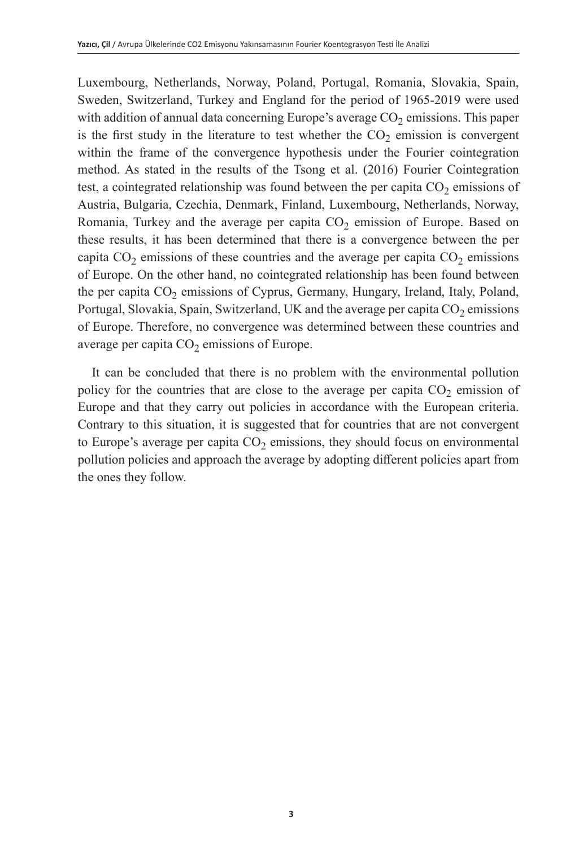Luxembourg, Netherlands, Norway, Poland, Portugal, Romania, Slovakia, Spain, Sweden, Switzerland, Turkey and England for the period of 1965-2019 were used with addition of annual data concerning Europe's average  $CO<sub>2</sub>$  emissions. This paper is the first study in the literature to test whether the  $CO<sub>2</sub>$  emission is convergent within the frame of the convergence hypothesis under the Fourier cointegration method. As stated in the results of the Tsong et al. (2016) Fourier Cointegration test, a cointegrated relationship was found between the per capita  $CO<sub>2</sub>$  emissions of Austria, Bulgaria, Czechia, Denmark, Finland, Luxembourg, Netherlands, Norway, Romania, Turkey and the average per capita  $CO<sub>2</sub>$  emission of Europe. Based on these results, it has been determined that there is a convergence between the per capita  $CO<sub>2</sub>$  emissions of these countries and the average per capita  $CO<sub>2</sub>$  emissions of Europe. On the other hand, no cointegrated relationship has been found between the per capita  $CO<sub>2</sub>$  emissions of Cyprus, Germany, Hungary, Ireland, Italy, Poland, Portugal, Slovakia, Spain, Switzerland, UK and the average per capita  $CO<sub>2</sub>$  emissions of Europe. Therefore, no convergence was determined between these countries and average per capita  $CO<sub>2</sub>$  emissions of Europe.

It can be concluded that there is no problem with the environmental pollution policy for the countries that are close to the average per capita  $CO<sub>2</sub>$  emission of Europe and that they carry out policies in accordance with the European criteria. Contrary to this situation, it is suggested that for countries that are not convergent to Europe's average per capita  $CO<sub>2</sub>$  emissions, they should focus on environmental pollution policies and approach the average by adopting different policies apart from the ones they follow.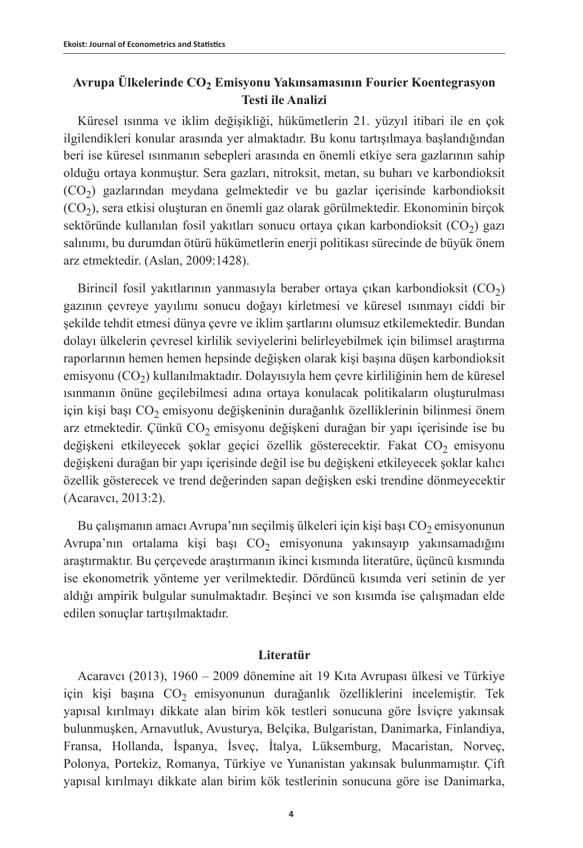### **Avrupa Ülkelerinde CO2 Emisyonu Yakınsamasının Fourier Koentegrasyon Testi ile Analizi**

Küresel ısınma ve iklim değişikliği, hükümetlerin 21. yüzyıl itibari ile en çok ilgilendikleri konular arasında yer almaktadır. Bu konu tartışılmaya başlandığından beri ise küresel ısınmanın sebepleri arasında en önemli etkiye sera gazlarının sahip olduğu ortaya konmuştur. Sera gazları, nitroksit, metan, su buharı ve karbondioksit  $(CO<sub>2</sub>)$  gazlarından meydana gelmektedir ve bu gazlar içerisinde karbondioksit  $(CO<sub>2</sub>)$ , sera etkisi oluşturan en önemli gaz olarak görülmektedir. Ekonominin birçok sektöründe kullanılan fosil yakıtları sonucu ortaya çıkan karbondioksit  $(CO<sub>2</sub>)$  gazı salınımı, bu durumdan ötürü hükümetlerin enerji politikası sürecinde de büyük önem arz etmektedir. (Aslan, 2009:1428).

Birincil fosil yakıtlarının yanmasıyla beraber ortaya çıkan karbondioksit (CO<sub>2</sub>) gazının çevreye yayılımı sonucu doğayı kirletmesi ve küresel ısınmayı ciddi bir şekilde tehdit etmesi dünya çevre ve iklim şartlarını olumsuz etkilemektedir. Bundan dolayı ülkelerin çevresel kirlilik seviyelerini belirleyebilmek için bilimsel araştırma raporlarının hemen hemen hepsinde değişken olarak kişi başına düşen karbondioksit emisyonu (CO<sub>2</sub>) kullanılmaktadır. Dolayısıyla hem çevre kirliliğinin hem de küresel ısınmanın önüne geçilebilmesi adına ortaya konulacak politikaların oluşturulması için kişi başı CO<sub>2</sub> emisyonu değişkeninin durağanlık özelliklerinin bilinmesi önem arz etmektedir. Çünkü  $CO<sub>2</sub>$  emisyonu değişkeni durağan bir yapı içerisinde ise bu değişkeni etkileyecek şoklar geçici özellik gösterecektir. Fakat CO<sub>2</sub> emisyonu değişkeni durağan bir yapı içerisinde değil ise bu değişkeni etkileyecek şoklar kalıcı özellik gösterecek ve trend değerinden sapan değişken eski trendine dönmeyecektir (Acaravcı, 2013:2).

Bu çalışmanın amacı Avrupa'nın seçilmiş ülkeleri için kişi başı  $CO<sub>2</sub>$ emisyonunun Avrupa'nın ortalama kişi başı  $CO<sub>2</sub>$  emisyonuna yakınsayıp yakınsamadığını araştırmaktır. Bu çerçevede araştırmanın ikinci kısmında literatüre, üçüncü kısmında ise ekonometrik yönteme yer verilmektedir. Dördüncü kısımda veri setinin de yer aldığı ampirik bulgular sunulmaktadır. Beşinci ve son kısımda ise çalışmadan elde edilen sonuçlar tartışılmaktadır.

### **Literatür**

Acaravcı (2013), 1960 – 2009 dönemine ait 19 Kıta Avrupası ülkesi ve Türkiye için kişi başına  $CO<sub>2</sub>$  emisyonunun durağanlık özelliklerini incelemiştir. Tek yapısal kırılmayı dikkate alan birim kök testleri sonucuna göre İsviçre yakınsak bulunmuşken, Arnavutluk, Avusturya, Belçika, Bulgaristan, Danimarka, Finlandiya, Fransa, Hollanda, İspanya, İsveç, İtalya, Lüksemburg, Macaristan, Norveç, Polonya, Portekiz, Romanya, Türkiye ve Yunanistan yakınsak bulunmamıştır. Çift yapısal kırılmayı dikkate alan birim kök testlerinin sonucuna göre ise Danimarka,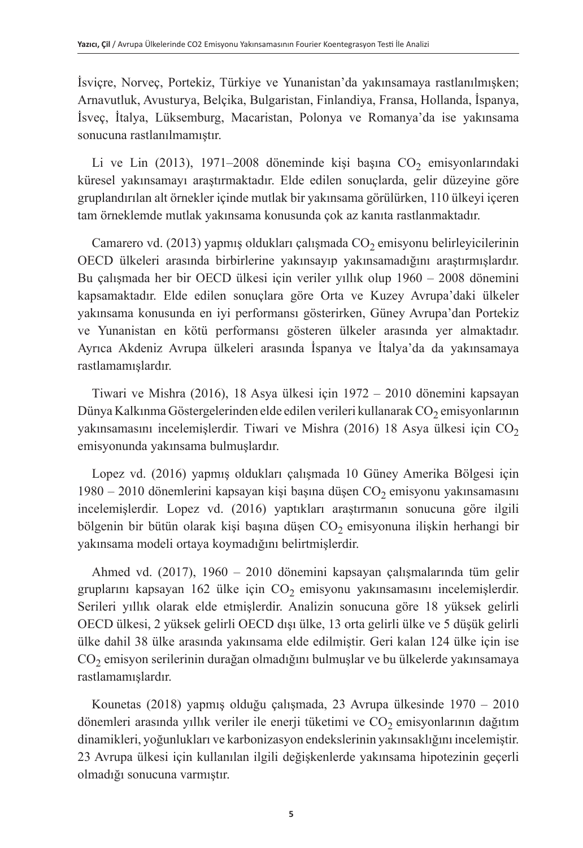İsviçre, Norveç, Portekiz, Türkiye ve Yunanistan'da yakınsamaya rastlanılmışken; Arnavutluk, Avusturya, Belçika, Bulgaristan, Finlandiya, Fransa, Hollanda, İspanya, İsveç, İtalya, Lüksemburg, Macaristan, Polonya ve Romanya'da ise yakınsama sonucuna rastlanılmamıştır.

Li ve Lin (2013), 1971–2008 döneminde kişi başına  $CO_2$  emisyonlarındaki küresel yakınsamayı araştırmaktadır. Elde edilen sonuçlarda, gelir düzeyine göre gruplandırılan alt örnekler içinde mutlak bir yakınsama görülürken, 110 ülkeyi içeren tam örneklemde mutlak yakınsama konusunda çok az kanıta rastlanmaktadır.

Camarero vd. (2013) yapmış oldukları çalışmada  $CO<sub>2</sub>$ emisyonu belirleyicilerinin OECD ülkeleri arasında birbirlerine yakınsayıp yakınsamadığını araştırmışlardır. Bu çalışmada her bir OECD ülkesi için veriler yıllık olup 1960 – 2008 dönemini kapsamaktadır. Elde edilen sonuçlara göre Orta ve Kuzey Avrupa'daki ülkeler yakınsama konusunda en iyi performansı gösterirken, Güney Avrupa'dan Portekiz ve Yunanistan en kötü performansı gösteren ülkeler arasında yer almaktadır. Ayrıca Akdeniz Avrupa ülkeleri arasında İspanya ve İtalya'da da yakınsamaya rastlamamışlardır.

Tiwari ve Mishra (2016), 18 Asya ülkesi için 1972 – 2010 dönemini kapsayan Dünya Kalkınma Göstergelerinden elde edilen verileri kullanarak  $CO<sub>2</sub>$ emisyonlarının yakınsamasını incelemişlerdir. Tiwari ve Mishra (2016) 18 Asya ülkesi için  $CO<sub>2</sub>$ emisyonunda yakınsama bulmuşlardır.

Lopez vd. (2016) yapmış oldukları çalışmada 10 Güney Amerika Bölgesi için 1980 – 2010 dönemlerini kapsayan kişi başına düşen  $CO<sub>2</sub>$  emisyonu yakınsamasını incelemişlerdir. Lopez vd. (2016) yaptıkları araştırmanın sonucuna göre ilgili bölgenin bir bütün olarak kişi başına düşen  $CO<sub>2</sub>$  emisyonuna ilişkin herhangi bir yakınsama modeli ortaya koymadığını belirtmişlerdir.

Ahmed vd. (2017), 1960 – 2010 dönemini kapsayan çalışmalarında tüm gelir gruplarını kapsayan 162 ülke için  $CO_2$  emisyonu yakınsamasını incelemişlerdir. Serileri yıllık olarak elde etmişlerdir. Analizin sonucuna göre 18 yüksek gelirli OECD ülkesi, 2 yüksek gelirli OECD dışı ülke, 13 orta gelirli ülke ve 5 düşük gelirli ülke dahil 38 ülke arasında yakınsama elde edilmiştir. Geri kalan 124 ülke için ise  $CO<sub>2</sub>$  emisyon serilerinin durağan olmadığını bulmuşlar ve bu ülkelerde yakınsamaya rastlamamışlardır.

Kounetas (2018) yapmış olduğu çalışmada, 23 Avrupa ülkesinde 1970 – 2010 dönemleri arasında yıllık veriler ile enerji tüketimi ve  $CO<sub>2</sub>$ emisyonlarının dağıtım dinamikleri, yoğunlukları ve karbonizasyon endekslerinin yakınsaklığını incelemiştir. 23 Avrupa ülkesi için kullanılan ilgili değişkenlerde yakınsama hipotezinin geçerli olmadığı sonucuna varmıştır.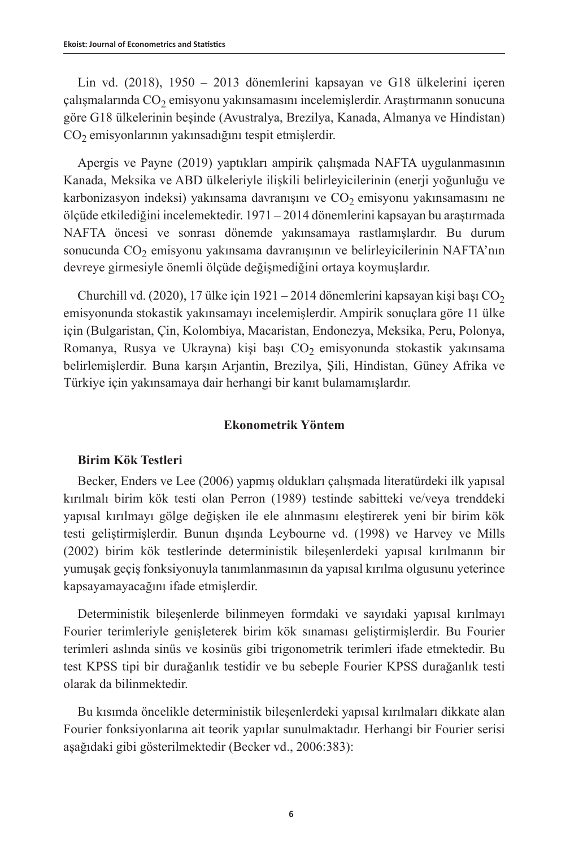Lin vd. (2018), 1950 – 2013 dönemlerini kapsayan ve G18 ülkelerini içeren çalışmalarında  $CO<sub>2</sub>$  emisyonu yakınsamasını incelemişlerdir. Araştırmanın sonucuna göre G18 ülkelerinin beşinde (Avustralya, Brezilya, Kanada, Almanya ve Hindistan) CO<sub>2</sub> emisyonlarının yakınsadığını tespit etmişlerdir.

Apergis ve Payne (2019) yaptıkları ampirik çalışmada NAFTA uygulanmasının Kanada, Meksika ve ABD ülkeleriyle ilişkili belirleyicilerinin (enerji yoğunluğu ve karbonizasyon indeksi) yakınsama davranışını ve  $CO<sub>2</sub>$ emisyonu yakınsamasını ne ölçüde etkilediğini incelemektedir. 1971 – 2014 dönemlerini kapsayan bu araştırmada NAFTA öncesi ve sonrası dönemde yakınsamaya rastlamışlardır. Bu durum sonucunda CO<sub>2</sub> emisyonu yakınsama davranışının ve belirleyicilerinin NAFTA'nın devreye girmesiyle önemli ölçüde değişmediğini ortaya koymuşlardır.

Churchill vd. (2020), 17 ülke için 1921 – 2014 dönemlerini kapsayan kişi başı CO<sub>2</sub> emisyonunda stokastik yakınsamayı incelemişlerdir. Ampirik sonuçlara göre 11 ülke için (Bulgaristan, Çin, Kolombiya, Macaristan, Endonezya, Meksika, Peru, Polonya, Romanya, Rusya ve Ukrayna) kişi başı  $CO<sub>2</sub>$  emisyonunda stokastik yakınsama belirlemişlerdir. Buna karşın Arjantin, Brezilya, Şili, Hindistan, Güney Afrika ve Türkiye için yakınsamaya dair herhangi bir kanıt bulamamışlardır.

### **Ekonometrik Yöntem**

### **Birim Kök Testleri**

Becker, Enders ve Lee (2006) yapmış oldukları çalışmada literatürdeki ilk yapısal kırılmalı birim kök testi olan Perron (1989) testinde sabitteki ve/veya trenddeki yapısal kırılmayı gölge değişken ile ele alınmasını eleştirerek yeni bir birim kök testi geliştirmişlerdir. Bunun dışında Leybourne vd. (1998) ve Harvey ve Mills (2002) birim kök testlerinde deterministik bileşenlerdeki yapısal kırılmanın bir yumuşak geçiş fonksiyonuyla tanımlanmasının da yapısal kırılma olgusunu yeterince kapsayamayacağını ifade etmişlerdir.

Deterministik bileşenlerde bilinmeyen formdaki ve sayıdaki yapısal kırılmayı Fourier terimleriyle genişleterek birim kök sınaması geliştirmişlerdir. Bu Fourier terimleri aslında sinüs ve kosinüs gibi trigonometrik terimleri ifade etmektedir. Bu test KPSS tipi bir durağanlık testidir ve bu sebeple Fourier KPSS durağanlık testi olarak da bilinmektedir.

Bu kısımda öncelikle deterministik bileşenlerdeki yapısal kırılmaları dikkate alan Fourier fonksiyonlarına ait teorik yapılar sunulmaktadır. Herhangi bir Fourier serisi aşağıdaki gibi gösterilmektedir (Becker vd., 2006:383):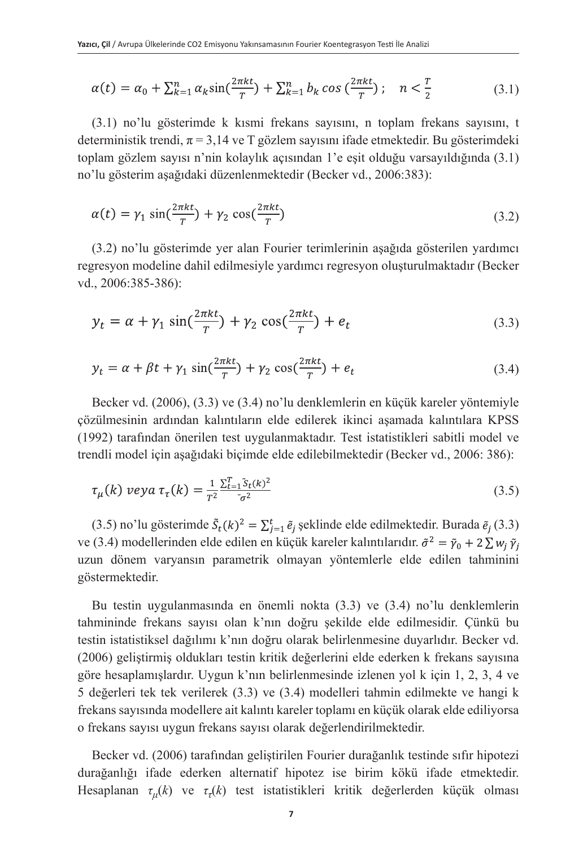$$
\alpha(t) = \alpha_0 + \sum_{k=1}^n \alpha_k \sin(\frac{2\pi kt}{T}) + \sum_{k=1}^n b_k \cos(\frac{2\pi kt}{T}); \quad n < \frac{T}{2} \tag{3.1}
$$

(3.1) no'lu gösterimde k kısmi frekans sayısını, n toplam frekans sayısını, t deterministik trendi,  $\pi = 3,14$  ve T gözlem sayısını ifade etmektedir. Bu gösterimdeki toplam gözlem sayısı n'nin kolaylık açısından 1'e eşit olduğu varsayıldığında (3.1) no'lu gösterim aşağıdaki düzenlenmektedir (Becker vd., 2006:383):

$$
\alpha(t) = \gamma_1 \sin(\frac{2\pi kt}{T}) + \gamma_2 \cos(\frac{2\pi kt}{T})
$$
\n(3.2)

(3.2) no'lu gösterimde yer alan Fourier terimlerinin aşağıda gösterilen yardımcı regresyon modeline dahil edilmesiyle yardımcı regresyon oluşturulmaktadır (Becker vd., 2006:385-386):

$$
y_t = \alpha + \gamma_1 \sin(\frac{2\pi kt}{T}) + \gamma_2 \cos(\frac{2\pi kt}{T}) + e_t
$$
\n(3.3)

$$
y_t = \alpha + \beta t + \gamma_1 \sin(\frac{2\pi kt}{T}) + \gamma_2 \cos(\frac{2\pi kt}{T}) + e_t
$$
\n(3.4)

Becker vd. (2006), (3.3) ve (3.4) no'lu denklemlerin en küçük kareler yöntemiyle çözülmesinin ardından kalıntıların elde edilerek ikinci aşamada kalıntılara KPSS (1992) tarafından önerilen test uygulanmaktadır. Test istatistikleri sabitli model ve trendli model için aşağıdaki biçimde elde edilebilmektedir (Becker vd., 2006: 386):

$$
\tau_{\mu}(k) \ veya \ \tau_{\tau}(k) = \frac{1}{T^2} \frac{\sum_{t=1}^{T} \tilde{s}_t(k)^2}{\tilde{\sigma}^2} \tag{3.5}
$$

(3.5) no'lu gösterimde  $\tilde{S}_t(k)^2 = \sum_{i=1}^t \tilde{e}_i$  şeklinde elde edilmektedir. Burada  $\tilde{e}_i$  (3.3) ve (3.4) modellerinden elde edilen en küçük kareler kalıntılarıdır.  $\tilde{\sigma}^2 = \tilde{\gamma}_0 + 2 \sum w_i \tilde{\gamma}_i$ uzun dönem varyansın parametrik olmayan yöntemlerle elde edilen tahminini göstermektedir.

Bu testin uygulanmasında en önemli nokta (3.3) ve (3.4) no'lu denklemlerin tahmininde frekans sayısı olan k'nın doğru şekilde elde edilmesidir. Çünkü bu testin istatistiksel dağılımı k'nın doğru olarak belirlenmesine duyarlıdır. Becker vd. (2006) geliştirmiş oldukları testin kritik değerlerini elde ederken k frekans sayısına göre hesaplamışlardır. Uygun k'nın belirlenmesinde izlenen yol k için 1, 2, 3, 4 ve 5 değerleri tek tek verilerek (3.3) ve (3.4) modelleri tahmin edilmekte ve hangi k frekans sayısında modellere ait kalıntı kareler toplamı en küçük olarak elde ediliyorsa o frekans sayısı uygun frekans sayısı olarak değerlendirilmektedir.

Becker vd. (2006) tarafından geliştirilen Fourier durağanlık testinde sıfır hipotezi durağanlığı ifade ederken alternatif hipotez ise birim kökü ifade etmektedir. Hesaplanan *τμ*(*k*) ve *ττ*(*k*) test istatistikleri kritik değerlerden küçük olması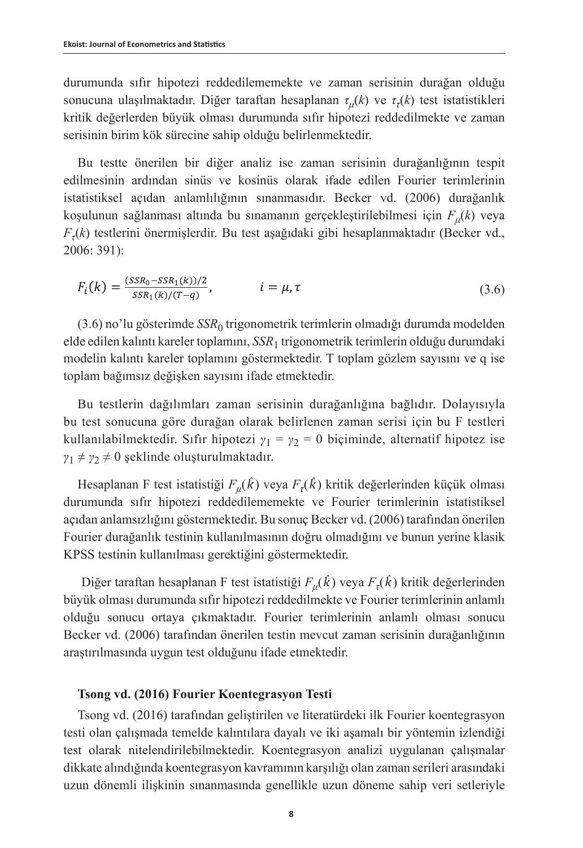durumunda sıfır hipotezi reddedilememekte ve zaman serisinin durağan olduğu sonucuna ulaşılmaktadır. Diğer taraftan hesaplanan *τμ*(*k*) ve *ττ*(*k*) test istatistikleri kritik değerlerden büyük olması durumunda sıfır hipotezi reddedilmekte ve zaman serisinin birim kök sürecine sahip olduğu belirlenmektedir.

Bu testte önerilen bir diğer analiz ise zaman serisinin durağanlığının tespit edilmesinin ardından sinüs ve kosinüs olarak ifade edilen Fourier terimlerinin istatistiksel açıdan anlamlılığının sınanmasıdır. Becker vd. (2006) durağanlık koşulunun sağlanması altında bu sınamanın gerçekleştirilebilmesi için *Fμ*(*k*) veya *Fτ*(*k*) testlerini önermişlerdir. Bu test aşağıdaki gibi hesaplanmaktadır (Becker vd., 2006: 391):

$$
F_i(k) = \frac{(SSR_0 - SSR_1(k))/2}{SSR_1(k)/(T-q)}, \qquad i = \mu, \tau
$$
\n(3.6)

(3.6) no'lu gösterimde *SSR*0 trigonometrik terimlerin olmadığı durumda modelden elde edilen kalıntı kareler toplamını, *SSR*1 trigonometrik terimlerin olduğu durumdaki modelin kalıntı kareler toplamını göstermektedir. T toplam gözlem sayısını ve q ise toplam bağımsız değişken sayısını ifade etmektedir.

Bu testlerin dağılımları zaman serisinin durağanlığına bağlıdır. Dolayısıyla bu test sonucuna göre durağan olarak belirlenen zaman serisi için bu F testleri kullanılabilmektedir. Sıfır hipotezi  $\gamma_1 = \gamma_2 = 0$  biçiminde, alternatif hipotez ise  $\gamma_1 \neq \gamma_2 \neq 0$  şeklinde oluşturulmaktadır.

Hesaplanan F test istatistiği *Fμ*(*kˆ* ) veya *Fτ*(*kˆ* ) kritik değerlerinden küçük olması durumunda sıfır hipotezi reddedilememekte ve Fourier terimlerinin istatistiksel açıdan anlamsızlığını göstermektedir. Bu sonuç Becker vd. (2006) tarafından önerilen Fourier durağanlık testinin kullanılmasının doğru olmadığını ve bunun yerine klasik KPSS testinin kullanılması gerektiğini göstermektedir.

 Diğer taraftan hesaplanan F test istatistiği *Fμ*(*kˆ* ) veya *Fτ*(*kˆ* ) kritik değerlerinden büyük olması durumunda sıfır hipotezi reddedilmekte ve Fourier terimlerinin anlamlı olduğu sonucu ortaya çıkmaktadır. Fourier terimlerinin anlamlı olması sonucu Becker vd. (2006) tarafından önerilen testin mevcut zaman serisinin durağanlığının araştırılmasında uygun test olduğunu ifade etmektedir.

### **Tsong vd. (2016) Fourier Koentegrasyon Testi**

Tsong vd. (2016) tarafından geliştirilen ve literatürdeki ilk Fourier koentegrasyon testi olan çalışmada temelde kalıntılara dayalı ve iki aşamalı bir yöntemin izlendiği test olarak nitelendirilebilmektedir. Koentegrasyon analizi uygulanan çalışmalar dikkate alındığında koentegrasyon kavramının karşılığı olan zaman serileri arasındaki uzun dönemli ilişkinin sınanmasında genellikle uzun döneme sahip veri setleriyle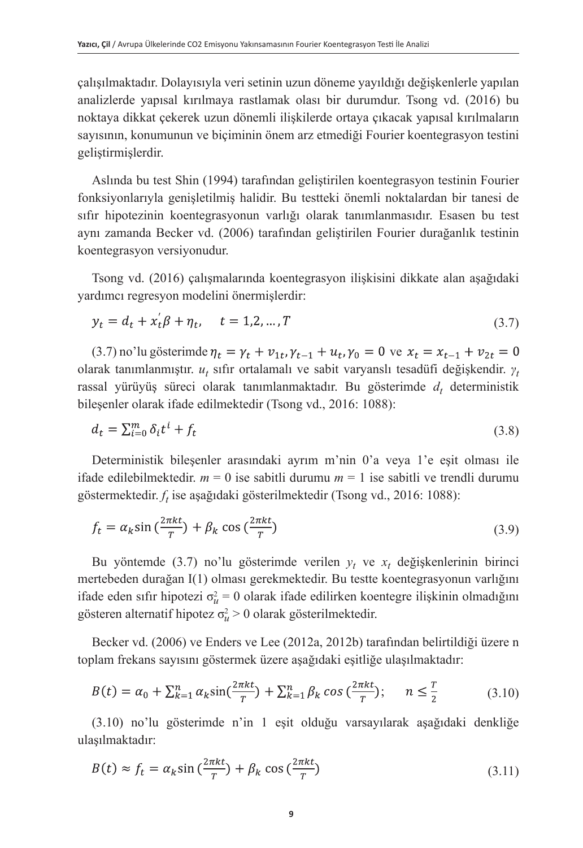çalışılmaktadır. Dolayısıyla veri setinin uzun döneme yayıldığı değişkenlerle yapılan analizlerde yapısal kırılmaya rastlamak olası bir durumdur. Tsong vd. (2016) bu noktaya dikkat çekerek uzun dönemli ilişkilerde ortaya çıkacak yapısal kırılmaların sayısının, konumunun ve biçiminin önem arz etmediği Fourier koentegrasyon testini geliştirmişlerdir.

Aslında bu test Shin (1994) tarafından geliştirilen koentegrasyon testinin Fourier fonksiyonlarıyla genişletilmiş halidir. Bu testteki önemli noktalardan bir tanesi de sıfır hipotezinin koentegrasyonun varlığı olarak tanımlanmasıdır. Esasen bu test aynı zamanda Becker vd. (2006) tarafından geliştirilen Fourier durağanlık testinin koentegrasyon versiyonudur.

Tsong vd. (2016) çalışmalarında koentegrasyon ilişkisini dikkate alan aşağıdaki yardımcı regresyon modelini önermişlerdir:

$$
y_t = d_t + x_t' \beta + \eta_t, \quad t = 1, 2, ..., T
$$
\n(3.7)

(3.7) no'lu gösterimde  $\eta_t = \gamma_t + v_{1t}$ ,  $\gamma_{t-1} + u_t$ ,  $\gamma_0 = 0$  ve  $x_t = x_{t-1} + v_{2t} = 0$ olarak tanımlanmıştır.  $u_t$  sıfır ortalamalı ve sabit varyanslı tesadüfi değişkendir.  $\gamma_t$ rassal yürüyüş süreci olarak tanımlanmaktadır. Bu gösterimde  $d_t$  deterministik bileşenler olarak ifade edilmektedir (Tsong vd., 2016: 1088):

$$
d_t = \sum_{i=0}^{m} \delta_i t^i + f_t \tag{3.8}
$$

Deterministik bileşenler arasındaki ayrım m'nin 0'a veya 1'e eşit olması ile ifade edilebilmektedir.  $m = 0$  ise sabitli durumu  $m = 1$  ise sabitli ve trendli durumu göstermektedir. *ft* ise aşağıdaki gösterilmektedir (Tsong vd., 2016: 1088):

$$
f_t = \alpha_k \sin\left(\frac{2\pi kt}{T}\right) + \beta_k \cos\left(\frac{2\pi kt}{T}\right) \tag{3.9}
$$

Bu yöntemde (3.7) no'lu gösterimde verilen *yt* ve *xt* değişkenlerinin birinci mertebeden durağan I(1) olması gerekmektedir. Bu testte koentegrasyonun varlığını ifade eden sıfır hipotezi  $\sigma_u^2 = 0$  olarak ifade edilirken koentegre ilişkinin olmadığını gösteren alternatif hipotez  $\sigma_u^2 > 0$  olarak gösterilmektedir.

Becker vd. (2006) ve Enders ve Lee (2012a, 2012b) tarafından belirtildiği üzere n toplam frekans sayısını göstermek üzere aşağıdaki eşitliğe ulaşılmaktadır:

$$
B(t) = \alpha_0 + \sum_{k=1}^n \alpha_k \sin(\frac{2\pi kt}{T}) + \sum_{k=1}^n \beta_k \cos(\frac{2\pi kt}{T}); \quad n \le \frac{T}{2}
$$
 (3.10)

(3.10) no'lu gösterimde n'in 1 eşit olduğu varsayılarak aşağıdaki denkliğe ulaşılmaktadır:

$$
B(t) \approx f_t = \alpha_k \sin\left(\frac{2\pi kt}{T}\right) + \beta_k \cos\left(\frac{2\pi kt}{T}\right) \tag{3.11}
$$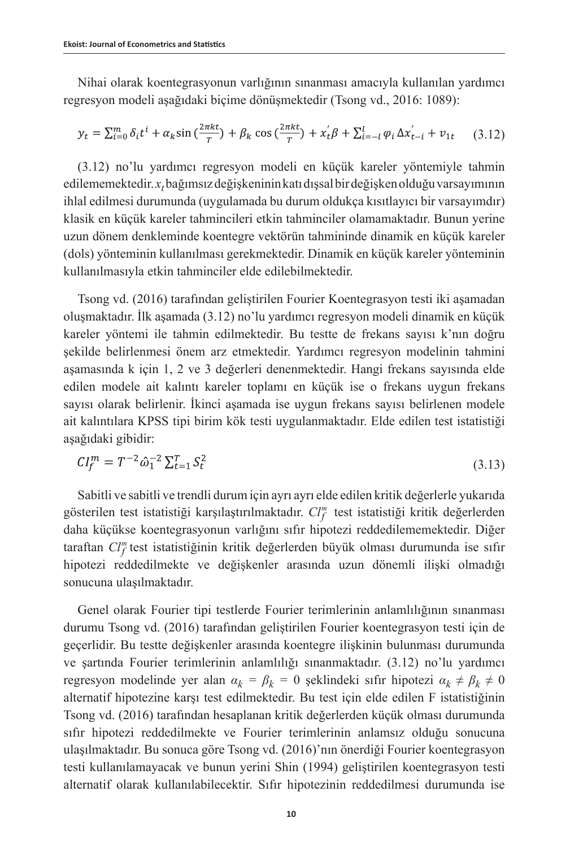Nihai olarak koentegrasyonun varlığının sınanması amacıyla kullanılan yardımcı regresyon modeli aşağıdaki biçime dönüşmektedir (Tsong vd., 2016: 1089):

$$
y_t = \sum_{i=0}^{m} \delta_i t^i + \alpha_k \sin\left(\frac{2\pi kt}{T}\right) + \beta_k \cos\left(\frac{2\pi kt}{T}\right) + x_t^{\prime} \beta + \sum_{i=-l}^{l} \varphi_i \Delta x_{t-i}^{\prime} + v_{1t} \tag{3.12}
$$

(3.12) no'lu yardımcı regresyon modeli en küçük kareler yöntemiyle tahmin edilememektedir. *xt* bağımsız değişkeninin katı dışsal bir değişken olduğu varsayımının ihlal edilmesi durumunda (uygulamada bu durum oldukça kısıtlayıcı bir varsayımdır) klasik en küçük kareler tahmincileri etkin tahminciler olamamaktadır. Bunun yerine uzun dönem denkleminde koentegre vektörün tahmininde dinamik en küçük kareler (dols) yönteminin kullanılması gerekmektedir. Dinamik en küçük kareler yönteminin kullanılmasıyla etkin tahminciler elde edilebilmektedir.

Tsong vd. (2016) tarafından geliştirilen Fourier Koentegrasyon testi iki aşamadan oluşmaktadır. İlk aşamada (3.12) no'lu yardımcı regresyon modeli dinamik en küçük kareler yöntemi ile tahmin edilmektedir. Bu testte de frekans sayısı k'nın doğru şekilde belirlenmesi önem arz etmektedir. Yardımcı regresyon modelinin tahmini aşamasında k için 1, 2 ve 3 değerleri denenmektedir. Hangi frekans sayısında elde edilen modele ait kalıntı kareler toplamı en küçük ise o frekans uygun frekans sayısı olarak belirlenir. İkinci aşamada ise uygun frekans sayısı belirlenen modele ait kalıntılara KPSS tipi birim kök testi uygulanmaktadır. Elde edilen test istatistiği aşağıdaki gibidir:

$$
CI_f^m = T^{-2} \hat{\omega}_1^{-2} \Sigma_{t=1}^T S_t^2 \tag{3.13}
$$

Sabitli ve sabitli ve trendli durum için ayrı ayrı elde edilen kritik değerlerle yukarıda gösterilen test istatistiği karşılaştırılmaktadır. *Cl<sup>m</sup> f* test istatistiği kritik değerlerden daha küçükse koentegrasyonun varlığını sıfır hipotezi reddedilememektedir. Diğer taraftan *Cl<sup>m</sup> f* test istatistiğinin kritik değerlerden büyük olması durumunda ise sıfır hipotezi reddedilmekte ve değişkenler arasında uzun dönemli ilişki olmadığı sonucuna ulaşılmaktadır.

Genel olarak Fourier tipi testlerde Fourier terimlerinin anlamlılığının sınanması durumu Tsong vd. (2016) tarafından geliştirilen Fourier koentegrasyon testi için de geçerlidir. Bu testte değişkenler arasında koentegre ilişkinin bulunması durumunda ve şartında Fourier terimlerinin anlamlılığı sınanmaktadır. (3.12) no'lu yardımcı regresyon modelinde yer alan  $\alpha_k = \beta_k = 0$  şeklindeki sıfır hipotezi  $\alpha_k \neq \beta_k \neq 0$ alternatif hipotezine karşı test edilmektedir. Bu test için elde edilen F istatistiğinin Tsong vd. (2016) tarafından hesaplanan kritik değerlerden küçük olması durumunda sıfır hipotezi reddedilmekte ve Fourier terimlerinin anlamsız olduğu sonucuna ulaşılmaktadır. Bu sonuca göre Tsong vd. (2016)'nın önerdiği Fourier koentegrasyon testi kullanılamayacak ve bunun yerini Shin (1994) geliştirilen koentegrasyon testi alternatif olarak kullanılabilecektir. Sıfır hipotezinin reddedilmesi durumunda ise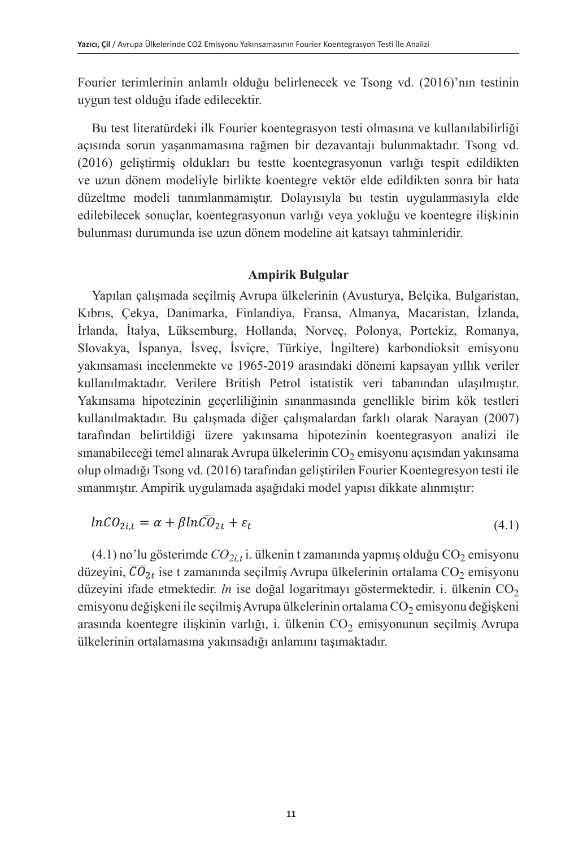Fourier terimlerinin anlamlı olduğu belirlenecek ve Tsong vd. (2016)'nın testinin uygun test olduğu ifade edilecektir.

Bu test literatürdeki ilk Fourier koentegrasyon testi olmasına ve kullanılabilirliği açısında sorun yaşanmamasına rağmen bir dezavantajı bulunmaktadır. Tsong vd. (2016) geliştirmiş oldukları bu testte koentegrasyonun varlığı tespit edildikten ve uzun dönem modeliyle birlikte koentegre vektör elde edildikten sonra bir hata düzeltme modeli tanımlanmamıştır. Dolayısıyla bu testin uygulanmasıyla elde edilebilecek sonuçlar, koentegrasyonun varlığı veya yokluğu ve koentegre ilişkinin bulunması durumunda ise uzun dönem modeline ait katsayı tahminleridir.

### **Ampirik Bulgular**

Yapılan çalışmada seçilmiş Avrupa ülkelerinin (Avusturya, Belçika, Bulgaristan, Kıbrıs, Çekya, Danimarka, Finlandiya, Fransa, Almanya, Macaristan, İzlanda, İrlanda, İtalya, Lüksemburg, Hollanda, Norveç, Polonya, Portekiz, Romanya, Slovakya, İspanya, İsveç, İsviçre, Türkiye, İngiltere) karbondioksit emisyonu yakınsaması incelenmekte ve 1965-2019 arasındaki dönemi kapsayan yıllık veriler kullanılmaktadır. Verilere British Petrol istatistik veri tabanından ulaşılmıştır. Yakınsama hipotezinin geçerliliğinin sınanmasında genellikle birim kök testleri kullanılmaktadır. Bu çalışmada diğer çalışmalardan farklı olarak Narayan (2007) tarafından belirtildiği üzere yakınsama hipotezinin koentegrasyon analizi ile sınanabileceği temel alınarak Avrupa ülkelerinin  $CO<sub>2</sub>$ emisyonu açısından yakınsama olup olmadığı Tsong vd. (2016) tarafından geliştirilen Fourier Koentegresyon testi ile sınanmıştır. Ampirik uygulamada aşağıdaki model yapısı dikkate alınmıştır:

$$
ln CO_{2i,t} = \alpha + \beta ln CO_{2t} + \varepsilon_t \tag{4.1}
$$

 $(4.1)$  no'lu gösterimde  $CO_{2i,t}$ i. ülkenin t zamanında yapmış olduğu  $CO_2$  emisyonu düzeyini,  $\overline{CO}_{2t}$  ise t zamanında seçilmiş Avrupa ülkelerinin ortalama CO<sub>2</sub> emisyonu düzeyini ifade etmektedir. *ln* ise doğal logaritmayı göstermektedir. i. ülkenin CO<sub>2</sub> emisyonu değişkeni ile seçilmiş Avrupa ülkelerinin ortalama CO<sub>2</sub> emisyonu değişkeni arasında koentegre ilişkinin varlığı, i. ülkenin  $CO<sub>2</sub>$  emisyonunun seçilmiş Avrupa ülkelerinin ortalamasına yakınsadığı anlamını taşımaktadır.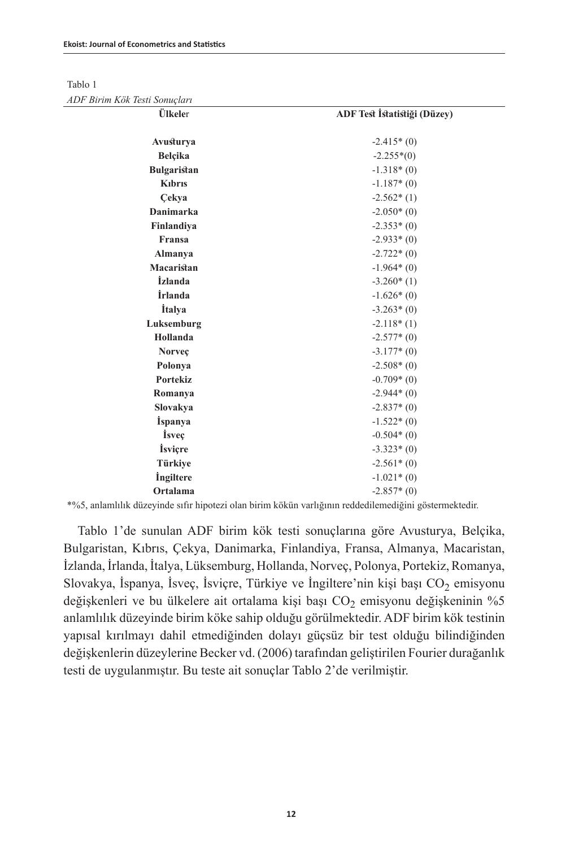Tablo 1

*ADF Birim Kök Testi Sonuçları*

| Ülkeler               | ADF Test İstatistiği (Düzey) |  |  |
|-----------------------|------------------------------|--|--|
|                       |                              |  |  |
| Avusturya             | $-2.415*(0)$                 |  |  |
| Belçika               | $-2.255*(0)$                 |  |  |
| <b>Bulgaristan</b>    | $-1.318*(0)$                 |  |  |
| <b>K</b> ıbrıs        | $-1.187*(0)$                 |  |  |
| <b>Cekya</b>          | $-2.562*(1)$                 |  |  |
| <b>Danimarka</b>      | $-2.050*(0)$                 |  |  |
| Finlandiya            | $-2.353*(0)$                 |  |  |
| Fransa                | $-2.933*(0)$                 |  |  |
| <b>Almanya</b>        | $-2.722*(0)$                 |  |  |
| Macaristan            | $-1.964*(0)$                 |  |  |
| <i>izlanda</i>        | $-3.260*(1)$                 |  |  |
| <i><b>İrlanda</b></i> | $-1.626*(0)$                 |  |  |
| <i>italya</i>         | $-3.263*(0)$                 |  |  |
| Luksemburg            | $-2.118*(1)$                 |  |  |
| Hollanda              | $-2.577*(0)$                 |  |  |
| Norveç                | $-3.177*(0)$                 |  |  |
| Polonya               | $-2.508*(0)$                 |  |  |
| <b>Portekiz</b>       | $-0.709*(0)$                 |  |  |
| Romanya               | $-2.944*(0)$                 |  |  |
| Slovakya              | $-2.837*(0)$                 |  |  |
| <i>ispanya</i>        | $-1.522*(0)$                 |  |  |
| <i>isvec</i>          | $-0.504*(0)$                 |  |  |
| <i>isviçre</i>        | $-3.323*(0)$                 |  |  |
| Türkiye               | $-2.561*(0)$                 |  |  |
| <i>ingiltere</i>      | $-1.021*(0)$                 |  |  |
| Ortalama              | $-2.857*(0)$                 |  |  |

\*%5, anlamlılık düzeyinde sıfır hipotezi olan birim kökün varlığının reddedilemediğini göstermektedir.

Tablo 1'de sunulan ADF birim kök testi sonuçlarına göre Avusturya, Belçika, Bulgaristan, Kıbrıs, Çekya, Danimarka, Finlandiya, Fransa, Almanya, Macaristan, İzlanda, İrlanda, İtalya, Lüksemburg, Hollanda, Norveç, Polonya, Portekiz, Romanya, Slovakya, İspanya, İsveç, İsviçre, Türkiye ve İngiltere'nin kişi başı  $CO_2$  emisyonu değişkenleri ve bu ülkelere ait ortalama kişi başı  $CO<sub>2</sub>$  emisyonu değişkeninin %5 anlamlılık düzeyinde birim köke sahip olduğu görülmektedir. ADF birim kök testinin yapısal kırılmayı dahil etmediğinden dolayı güçsüz bir test olduğu bilindiğinden değişkenlerin düzeylerine Becker vd. (2006) tarafından geliştirilen Fourier durağanlık testi de uygulanmıştır. Bu teste ait sonuçlar Tablo 2'de verilmiştir.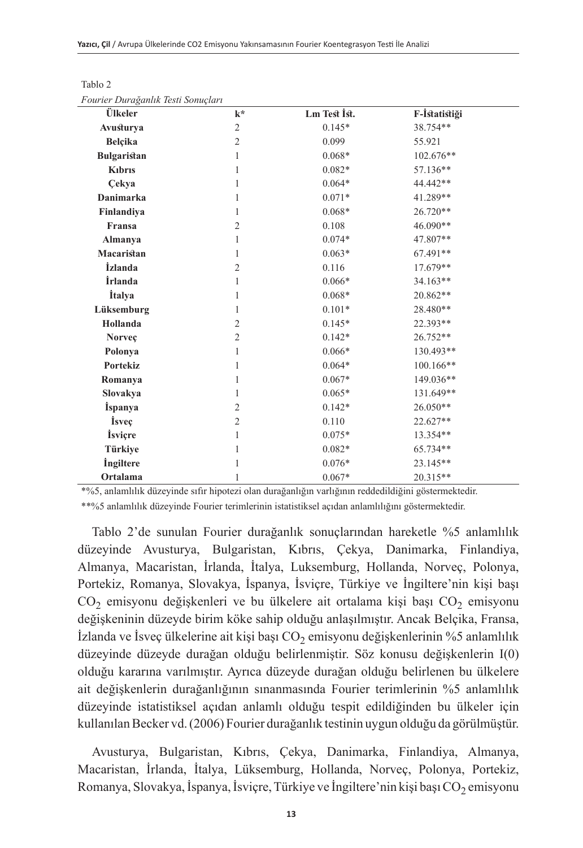| ourier Duraganiik Testi sonuçiari |              |               |  |
|-----------------------------------|--------------|---------------|--|
| $k^*$                             | Lm Test Ist. | F-İstatistiği |  |
| $\overline{2}$                    | $0.145*$     | 38.754**      |  |
| $\overline{c}$                    | 0.099        | 55.921        |  |
| 1                                 | $0.068*$     | 102.676**     |  |
| 1                                 | $0.082*$     | 57.136**      |  |
| 1                                 | $0.064*$     | 44.442**      |  |
| 1                                 | $0.071*$     | 41.289**      |  |
| 1                                 | $0.068*$     | 26.720**      |  |
| $\mathfrak{2}$                    | 0.108        | 46.090**      |  |
| 1                                 | $0.074*$     | 47.807**      |  |
| 1                                 | $0.063*$     | 67.491**      |  |
| $\mathfrak{2}$                    | 0.116        | 17.679**      |  |
| 1                                 | $0.066*$     | 34.163**      |  |
| 1                                 | $0.068*$     | 20.862**      |  |
| 1                                 | $0.101*$     | 28.480**      |  |
| $\mathfrak{2}$                    | $0.145*$     | 22.393**      |  |
| $\overline{c}$                    | $0.142*$     | 26.752**      |  |
| 1                                 | $0.066*$     | 130.493**     |  |
| 1                                 | $0.064*$     | 100.166**     |  |
| 1                                 | $0.067*$     | 149.036**     |  |
| 1                                 | $0.065*$     | 131.649**     |  |
| $\mathfrak{2}$                    | $0.142*$     | $26.050**$    |  |
| $\mathfrak{2}$                    | 0.110        | 22.627**      |  |
| 1                                 | $0.075*$     | 13.354**      |  |
| 1                                 | $0.082*$     | 65.734**      |  |
| 1                                 | $0.076*$     | 23.145**      |  |
| 1                                 | $0.067*$     | 20.315**      |  |
|                                   |              |               |  |

Tablo 2

*Fourier Durağanlık Testi Sonuçları*

\*%5, anlamlılık düzeyinde sıfır hipotezi olan durağanlığın varlığının reddedildiğini göstermektedir. \*\*%5 anlamlılık düzeyinde Fourier terimlerinin istatistiksel açıdan anlamlılığını göstermektedir.

Tablo 2'de sunulan Fourier durağanlık sonuçlarından hareketle %5 anlamlılık düzeyinde Avusturya, Bulgaristan, Kıbrıs, Çekya, Danimarka, Finlandiya, Almanya, Macaristan, İrlanda, İtalya, Luksemburg, Hollanda, Norveç, Polonya, Portekiz, Romanya, Slovakya, İspanya, İsviçre, Türkiye ve İngiltere'nin kişi başı  $CO<sub>2</sub>$  emisyonu değişkenleri ve bu ülkelere ait ortalama kişi başı  $CO<sub>2</sub>$  emisyonu değişkeninin düzeyde birim köke sahip olduğu anlaşılmıştır. Ancak Belçika, Fransa,  $i$ zlanda ve İsveç ülkelerine ait kişi başı  $CO<sub>2</sub>$  emisyonu değişkenlerinin %5 anlamlılık düzeyinde düzeyde durağan olduğu belirlenmiştir. Söz konusu değişkenlerin I(0) olduğu kararına varılmıştır. Ayrıca düzeyde durağan olduğu belirlenen bu ülkelere ait değişkenlerin durağanlığının sınanmasında Fourier terimlerinin %5 anlamlılık düzeyinde istatistiksel açıdan anlamlı olduğu tespit edildiğinden bu ülkeler için kullanılan Becker vd. (2006) Fourier durağanlık testinin uygun olduğu da görülmüştür.

Avusturya, Bulgaristan, Kıbrıs, Çekya, Danimarka, Finlandiya, Almanya, Macaristan, İrlanda, İtalya, Lüksemburg, Hollanda, Norveç, Polonya, Portekiz, Romanya, Slovakya, İspanya, İsviçre, Türkiye ve İngiltere'nin kişi başı  $CO_2$  emisyonu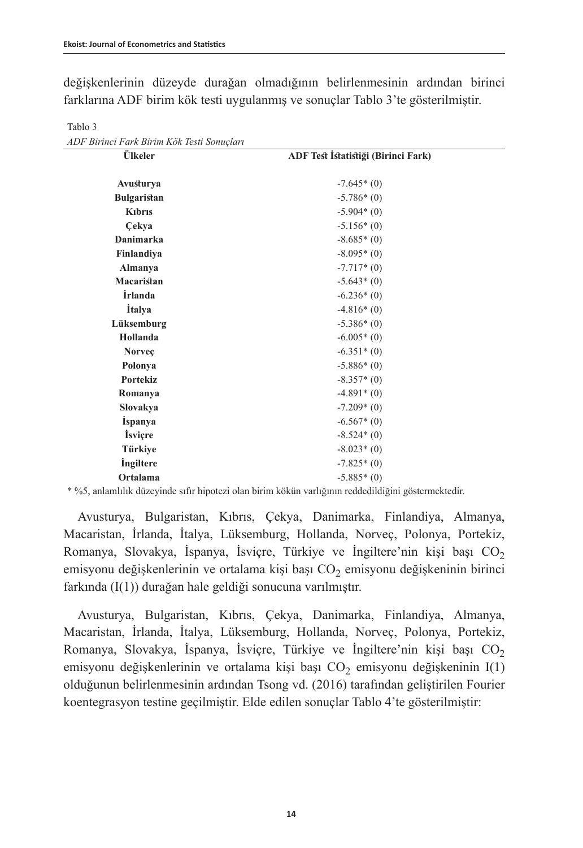değişkenlerinin düzeyde durağan olmadığının belirlenmesinin ardından birinci farklarına ADF birim kök testi uygulanmış ve sonuçlar Tablo 3'te gösterilmiştir.

| ADF Birinci Fark Birim Kök Testi Sonuçları |                                     |
|--------------------------------------------|-------------------------------------|
| Ülkeler                                    | ADF Test İstatistiği (Birinci Fark) |
| Avusturya                                  | $-7.645*(0)$                        |
| <b>Bulgaristan</b>                         | $-5.786*(0)$                        |
| Kibris                                     | $-5.904*(0)$                        |
| Cekya                                      | $-5.156*(0)$                        |
| Danimarka                                  | $-8.685*(0)$                        |
| Finlandiya                                 | $-8.095*(0)$                        |
| Almanya                                    | $-7.717*(0)$                        |
| Macaristan                                 | $-5.643*(0)$                        |
| <i><b>İrlanda</b></i>                      | $-6.236*(0)$                        |
| <i><u><b>Italya</b></u></i>                | $-4.816*(0)$                        |
| Lüksemburg                                 | $-5.386*(0)$                        |
| Hollanda                                   | $-6.005*(0)$                        |
| Norveç                                     | $-6.351*(0)$                        |
| Polonya                                    | $-5.886*(0)$                        |
| <b>Portekiz</b>                            | $-8.357*(0)$                        |
| Romanya                                    | $-4.891*(0)$                        |
| Slovakya                                   | $-7.209*(0)$                        |
| <i>i</i> spanya                            | $-6.567*(0)$                        |
| <i>isvicre</i>                             | $-8.524*(0)$                        |
| Türkiye                                    | $-8.023*(0)$                        |
| <i>ingiltere</i>                           | $-7.825*(0)$                        |
| Ortalama                                   | $-5.885*(0)$                        |

Tablo 3

\* %5, anlamlılık düzeyinde sıfır hipotezi olan birim kökün varlığının reddedildiğini göstermektedir.

Avusturya, Bulgaristan, Kıbrıs, Çekya, Danimarka, Finlandiya, Almanya, Macaristan, İrlanda, İtalya, Lüksemburg, Hollanda, Norveç, Polonya, Portekiz, Romanya, Slovakya, İspanya, İsviçre, Türkiye ve İngiltere'nin kişi başı  $CO<sub>2</sub>$ emisyonu değişkenlerinin ve ortalama kişi başı  $CO<sub>2</sub>$  emisyonu değişkeninin birinci farkında (I(1)) durağan hale geldiği sonucuna varılmıştır.

Avusturya, Bulgaristan, Kıbrıs, Çekya, Danimarka, Finlandiya, Almanya, Macaristan, İrlanda, İtalya, Lüksemburg, Hollanda, Norveç, Polonya, Portekiz, Romanya, Slovakya, İspanya, İsviçre, Türkiye ve İngiltere'nin kişi başı  $CO<sub>2</sub>$ emisyonu değişkenlerinin ve ortalama kişi başı  $CO<sub>2</sub>$  emisyonu değişkeninin I(1) olduğunun belirlenmesinin ardından Tsong vd. (2016) tarafından geliştirilen Fourier koentegrasyon testine geçilmiştir. Elde edilen sonuçlar Tablo 4'te gösterilmiştir: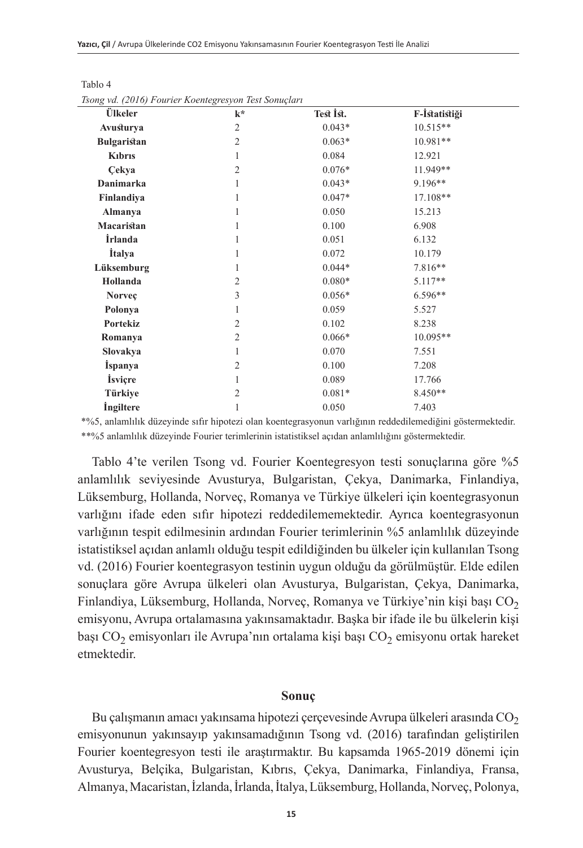| song va. (2010) I ourter Koentegresyon Test Sonaçtart |                |           |               |  |
|-------------------------------------------------------|----------------|-----------|---------------|--|
| Ülkeler                                               | $k^*$          | Test Ist. | F-İstatistiği |  |
| Avusturya                                             | $\overline{2}$ | $0.043*$  | $10.515**$    |  |
| <b>Bulgaristan</b>                                    | $\overline{2}$ | $0.063*$  | $10.981**$    |  |
| Kıbrıs                                                | 1              | 0.084     | 12.921        |  |
| Cekya                                                 | $\overline{2}$ | $0.076*$  | 11.949**      |  |
| <b>Danimarka</b>                                      | 1              | $0.043*$  | 9.196**       |  |
| Finlandiya                                            | 1              | $0.047*$  | 17.108**      |  |
| Almanya                                               | 1              | 0.050     | 15.213        |  |
| Macaristan                                            | 1              | 0.100     | 6.908         |  |
| <i><b>İrlanda</b></i>                                 | 1              | 0.051     | 6.132         |  |
| <i>italya</i>                                         | 1              | 0.072     | 10.179        |  |
| Lüksemburg                                            | 1              | $0.044*$  | 7.816**       |  |
| Hollanda                                              | $\overline{2}$ | $0.080*$  | 5.117**       |  |
| <b>Norvec</b>                                         | 3              | $0.056*$  | $6.596**$     |  |
| Polonya                                               | 1              | 0.059     | 5.527         |  |
| Portekiz                                              | $\overline{2}$ | 0.102     | 8.238         |  |
| Romanya                                               | $\overline{2}$ | $0.066*$  | $10.095**$    |  |
| Slovakya                                              | 1              | 0.070     | 7.551         |  |
| <i>ispanya</i>                                        | $\overline{2}$ | 0.100     | 7.208         |  |
| <i>isviçre</i>                                        | 1              | 0.089     | 17.766        |  |
| Türkiye                                               | $\overline{2}$ | $0.081*$  | $8.450**$     |  |
| <i>ingiltere</i>                                      | 1              | 0.050     | 7.403         |  |

*Tsong vd. (2016) Fourier Koentegresyon Test Sonuçları*

Tablo 4

\*%5, anlamlılık düzeyinde sıfır hipotezi olan koentegrasyonun varlığının reddedilemediğini göstermektedir. \*\*%5 anlamlılık düzeyinde Fourier terimlerinin istatistiksel açıdan anlamlılığını göstermektedir.

Tablo 4'te verilen Tsong vd. Fourier Koentegresyon testi sonuçlarına göre %5 anlamlılık seviyesinde Avusturya, Bulgaristan, Çekya, Danimarka, Finlandiya, Lüksemburg, Hollanda, Norveç, Romanya ve Türkiye ülkeleri için koentegrasyonun varlığını ifade eden sıfır hipotezi reddedilememektedir. Ayrıca koentegrasyonun varlığının tespit edilmesinin ardından Fourier terimlerinin %5 anlamlılık düzeyinde istatistiksel açıdan anlamlı olduğu tespit edildiğinden bu ülkeler için kullanılan Tsong vd. (2016) Fourier koentegrasyon testinin uygun olduğu da görülmüştür. Elde edilen sonuçlara göre Avrupa ülkeleri olan Avusturya, Bulgaristan, Çekya, Danimarka, Finlandiya, Lüksemburg, Hollanda, Norveç, Romanya ve Türkiye'nin kişi başı CO<sub>2</sub> emisyonu, Avrupa ortalamasına yakınsamaktadır. Başka bir ifade ile bu ülkelerin kişi başı  $CO_2$  emisyonları ile Avrupa'nın ortalama kişi başı  $CO_2$  emisyonu ortak hareket etmektedir.

### **Sonuç**

Bu çalışmanın amacı yakınsama hipotezi çerçevesinde Avrupa ülkeleri arasında  $CO<sub>2</sub>$ emisyonunun yakınsayıp yakınsamadığının Tsong vd. (2016) tarafından geliştirilen Fourier koentegresyon testi ile araştırmaktır. Bu kapsamda 1965-2019 dönemi için Avusturya, Belçika, Bulgaristan, Kıbrıs, Çekya, Danimarka, Finlandiya, Fransa, Almanya, Macaristan, İzlanda, İrlanda, İtalya, Lüksemburg, Hollanda, Norveç, Polonya,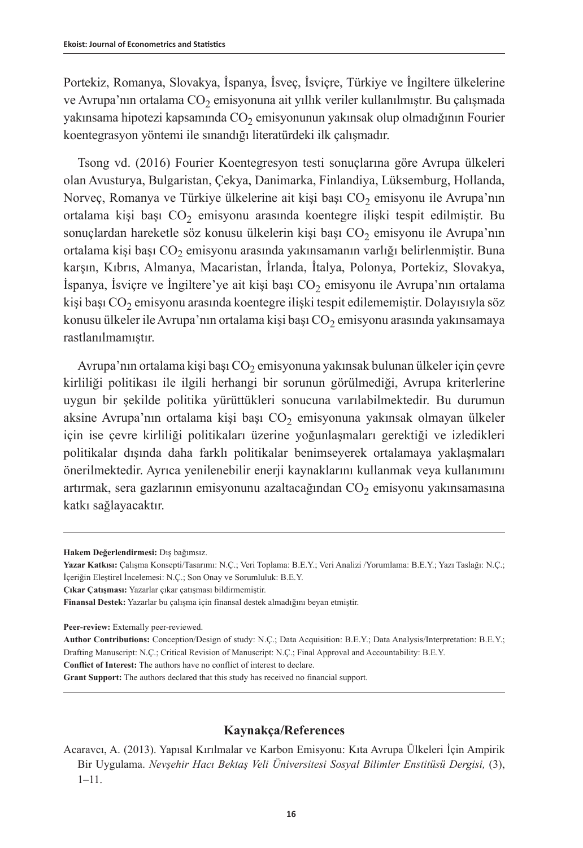Portekiz, Romanya, Slovakya, İspanya, İsveç, İsviçre, Türkiye ve İngiltere ülkelerine ve Avrupa'nın ortalama CO<sub>2</sub> emisyonuna ait yıllık veriler kullanılmıştır. Bu çalışmada yakınsama hipotezi kapsamında CO<sub>2</sub> emisyonunun yakınsak olup olmadığının Fourier koentegrasyon yöntemi ile sınandığı literatürdeki ilk çalışmadır.

Tsong vd. (2016) Fourier Koentegresyon testi sonuçlarına göre Avrupa ülkeleri olan Avusturya, Bulgaristan, Çekya, Danimarka, Finlandiya, Lüksemburg, Hollanda, Norveç, Romanya ve Türkiye ülkelerine ait kişi başı  $CO<sub>2</sub>$  emisyonu ile Avrupa'nın ortalama kişi başı  $CO<sub>2</sub>$  emisyonu arasında koentegre ilişki tespit edilmiştir. Bu sonuçlardan hareketle söz konusu ülkelerin kişi başı  $CO<sub>2</sub>$ emisyonu ile Avrupa'nın ortalama kişi başı CO<sub>2</sub> emisyonu arasında yakınsamanın varlığı belirlenmiştir. Buna karşın, Kıbrıs, Almanya, Macaristan, İrlanda, İtalya, Polonya, Portekiz, Slovakya, İspanya, İsviçre ve İngiltere'ye ait kişi başı CO<sub>2</sub> emisyonu ile Avrupa'nın ortalama kişi başı  $CO<sub>2</sub>$  emisyonu arasında koentegre ilişki tespit edilememiştir. Dolayısıyla söz konusu ülkeler ile Avrupa'nın ortalama kişi başı  $CO<sub>2</sub>$ emisyonu arasında yakınsamaya rastlanılmamıştır.

Avrupa'nın ortalama kişi başı  $CO<sub>2</sub>$  emisyonuna yakınsak bulunan ülkeler için çevre kirliliği politikası ile ilgili herhangi bir sorunun görülmediği, Avrupa kriterlerine uygun bir şekilde politika yürüttükleri sonucuna varılabilmektedir. Bu durumun aksine Avrupa'nın ortalama kişi başı  $CO<sub>2</sub>$  emisyonuna yakınsak olmayan ülkeler için ise çevre kirliliği politikaları üzerine yoğunlaşmaları gerektiği ve izledikleri politikalar dışında daha farklı politikalar benimseyerek ortalamaya yaklaşmaları önerilmektedir. Ayrıca yenilenebilir enerji kaynaklarını kullanmak veya kullanımını artırmak, sera gazlarının emisyonunu azaltacağından  $CO<sub>2</sub>$  emisyonu yakınsamasına katkı sağlayacaktır.

**Peer-review:** Externally peer-reviewed.

**Conflict of Interest:** The authors have no conflict of interest to declare.

**Grant Support:** The authors declared that this study has received no financial support.

### **Kaynakça/References**

**Hakem Değerlendirmesi:** Dış bağımsız.

**Yazar Katkısı:** Çalışma Konsepti/Tasarımı: N.Ç.; Veri Toplama: B.E.Y.; Veri Analizi /Yorumlama: B.E.Y.; Yazı Taslağı: N.Ç.; İçeriğin Eleştirel İncelemesi: N.Ç.; Son Onay ve Sorumluluk: B.E.Y.

**Çıkar Çatışması:** Yazarlar çıkar çatışması bildirmemiştir.

**Finansal Destek:** Yazarlar bu çalışma için finansal destek almadığını beyan etmiştir.

**Author Contributions:** Conception/Design of study: N.Ç.; Data Acquisition: B.E.Y.; Data Analysis/Interpretation: B.E.Y.; Drafting Manuscript: N.Ç.; Critical Revision of Manuscript: N.Ç.; Final Approval and Accountability: B.E.Y.

Acaravcı, A. (2013). Yapısal Kırılmalar ve Karbon Emisyonu: Kıta Avrupa Ülkeleri İçin Ampirik Bir Uygulama. *Nevşehir Hacı Bektaş Veli Üniversitesi Sosyal Bilimler Enstitüsü Dergisi,* (3), 1–11.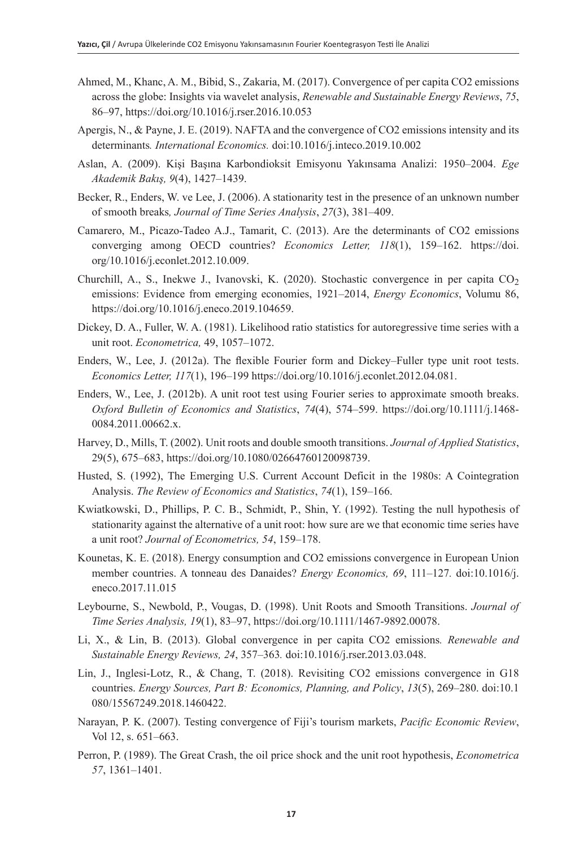- Ahmed, M., Khanc, A. M., Bibid, S., Zakaria, M. (2017). Convergence of per capita CO2 emissions across the globe: Insights via wavelet analysis, *Renewable and Sustainable Energy Reviews*, *75*, 86–97, <https://doi.org/10.1016/j.rser.2016.10.053>
- Apergis, N., & Payne, J. E. (2019). NAFTA and the convergence of CO2 emissions intensity and its determinants*. International Economics.* doi:10.1016/j.inteco.2019.10.002
- Aslan, A. (2009). Kişi Başına Karbondioksit Emisyonu Yakınsama Analizi: 1950–2004. *Ege Akademik Bakış, 9*(4), 1427–1439.
- Becker, R., Enders, W. ve Lee, J. (2006). A stationarity test in the presence of an unknown number of smooth breaks*, Journal of Time Series Analysis*, *27*(3), 381–409.
- Camarero, M., Picazo-Tadeo A.J., Tamarit, C. (2013). Are the determinants of CO2 emissions converging among OECD countries? *Economics Letter, 118*(1), 159–162. [https://doi.](https://doi.org/10.1016/j.econlet.2012.10.009) [org/10.1016/j.econlet.2012.10.009](https://doi.org/10.1016/j.econlet.2012.10.009).
- Churchill, A., S., Inekwe J., Ivanovski, K. (2020). Stochastic convergence in per capita  $CO<sub>2</sub>$ emissions: Evidence from emerging economies, 1921–2014, *Energy Economics*, Volumu 86, <https://doi.org/10.1016/j.eneco.2019.104659>.
- Dickey, D. A., Fuller, W. A. (1981). Likelihood ratio statistics for autoregressive time series with a unit root. *Econometrica,* 49, 1057–1072.
- Enders, W., Lee, J. (2012a). The flexible Fourier form and Dickey–Fuller type unit root tests. *Economics Letter, 117*(1), 196–199<https://doi.org/10.1016/j.econlet.2012.04.081>.
- Enders, W., Lee, J. (2012b). A unit root test using Fourier series to approximate smooth breaks. *Oxford Bulletin of Economics and Statistics*, *74*(4), 574–599. [https://doi.org/10.1111/j.1468-](https://doi.org/10.1111/j.1468-0084.2011.00662.x) [0084.2011.00662.x](https://doi.org/10.1111/j.1468-0084.2011.00662.x).
- Harvey, D., Mills, T. (2002). Unit roots and double smooth transitions. *Journal of Applied Statistics*, 29(5), 675–683, <https://doi.org/10.1080/02664760120098739>.
- Husted, S. (1992), The Emerging U.S. Current Account Deficit in the 1980s: A Cointegration Analysis. *The Review of Economics and Statistics*, *74*(1), 159–166.
- Kwiatkowski, D., Phillips, P. C. B., Schmidt, P., Shin, Y. (1992). Testing the null hypothesis of stationarity against the alternative of a unit root: how sure are we that economic time series have a unit root? *Journal of Econometrics, 54*, 159–178.
- Kounetas, K. E. (2018). Energy consumption and CO2 emissions convergence in European Union member countries. A tonneau des Danaides? *Energy Economics, 69*, 111–127*.* doi:10.1016/j. eneco.2017.11.015
- Leybourne, S., Newbold, P., Vougas, D. (1998). Unit Roots and Smooth Transitions. *Journal of Time Series Analysis, 19*(1), 83–97, <https://doi.org/10.1111/1467-9892.00078>.
- Li, X., & Lin, B. (2013). Global convergence in per capita CO2 emissions*. Renewable and Sustainable Energy Reviews, 24*, 357–363*.* doi:10.1016/j.rser.2013.03.048.
- Lin, J., Inglesi-Lotz, R., & Chang, T. (2018). Revisiting CO2 emissions convergence in G18 countries. *Energy Sources, Part B: Economics, Planning, and Policy*, *13*(5), 269–280. doi:10.1 080/15567249.2018.1460422.
- Narayan, P. K. (2007). Testing convergence of Fiji's tourism markets, *Pacific Economic Review*, Vol 12, s. 651–663.
- Perron, P. (1989). The Great Crash, the oil price shock and the unit root hypothesis, *Econometrica 57*, 1361–1401.